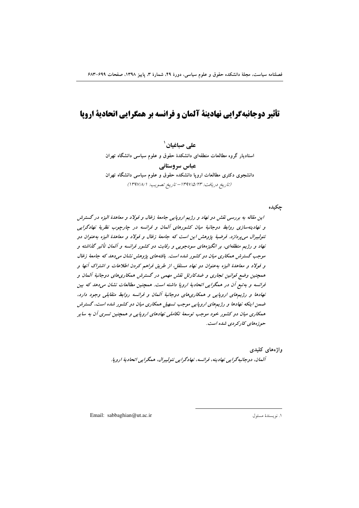# تأثیر دوجانبهگرایی نهادینهٔ آلمان و فرانسه بر همگرایی اتحادیهٔ اروپا

علے صباغیان`

استادیار گروه مطالعات منطقهای دانشکدهٔ حقوق و علوم سیاسی دانشگاه تهران

عباس سروستاني دانشجوی دکتری مطالعات اروپا دانشکده حقوق و علوم سیاسی دانشگاه تهران (تاريخ دريافت: ١٣٩٧/٥/٢٣ - تاريخ تصويب: ١٣٩٧/٨/١)

چکیده

این مقاله به بررسی نقش دو نهاد و رژیم اروپایی جامعهٔ زغال و فولاد و معاهدهٔ الیزه در گسترش و نهادینهسازی روابط دوجانبهٔ میان کشورهای آلمان و فرانسه در چارچوب نظریهٔ نهادگرایی نئوليبرال مي پردازد. فرضيهٔ پژوهش اين است كه جامعهٔ زغال و فولاد و معاهدهٔ اليزه بهعنوان دو نهاد و رژیم منطقهای، بر انگیزههای سودجویی و رقابت دو کشور فرانسه و آلمان تأثیر گذاشته و موجب گسترش همکاری میان دو کشور شده است. یافتههای پژوهش نشان می دهد که جامعهٔ زغال و فولاد و معاهدهٔ الیزه بهعنوان دو نهاد مستقل، از طریق فراهم کردن اطلاعات و اشتراک آنها و همچنین وضع قوانین تجاری و ضدکارتل نقش مهمی در گسترش همکاریهای دوجانبهٔ آلمان و فرانسه و به تبع آن در همگرایی اتحادیهٔ اروپا داشته است. همچنین مطالعات نشان میدهد که بین نهادها و رژیمهای اروپایی و همکاریهای دوجانبهٔ آلمان و فرانسه روابط متقابلی وجود دارد، ضمن اینکه نهادها و رژیمهای اروپایی موجب تسهیل همکاری میان دو کشور شده است، گسترش همکاری میان دو کشور خود موجب توسعهٔ تکاملی نهادهای اروپایی و همچنین تسری آن به سایر حوزههای کارکردی شده است.

> واژەهاي كليدى آلمان، دوجانبەگرايي نھادينە، فرانسە، نھادگرايي نئوليېرال، ھمگرايي اتحاديۀ اروپا.

Email: sabbaghian@ut.ac.ir

١. نويسندة مسئول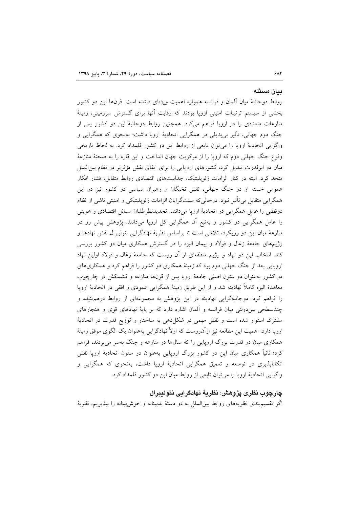#### ىيان مسئله

روابط دوجانبهٔ میان آلمان و فرانسه همواره اهمیت ویژهای داشته است. قرنها این دو کشور بخشی از سیستم ترتیبات امنیتی اروپا بودند که رقابت آنها برای گسترش سرزمینی، زمینهٔ منازعات متعددی را در اروپا فراهم میکرد. همچنین روابط دوجانبهٔ این دو کشور پس از جنگ دوم جهانی، تأثیر بیبدیلی در همگرایی اتحادیهٔ اروپا داشت؛ بهنحوی که همگرایی و واگرایی اتحادیهٔ اروپا را می توان تابعی از روابط این دو کشور قلمداد کرد. به لحاظ تاریخی وقوع جنگ جهانی دوم که اروپا را از مرکزیت جهان انداخت و این قاره را به صحنهٔ منازعهٔ میان دو ابرقدرت تبدیل کرد، کشورهای اروپایی را برای ایفای نقش مؤثرتر در نظام بین|لملل متحد کرد. البته در کنار الزامات ژئوپلیتیک، جذابیتهای اقتصادی روابط متقابل، فشار افکار عمومی خسته از دو جنگ جهانی، نقش نخبگان و رهبران سیاسی دو کشور نیز در این همگرایی متقابل بی تأثیر نبود. درحالیکه سنتگرایان الزامات ژئوپلیتیکی و امنیتی ناشی از نظام دوقطبي را عامل همگرايي در اتحاديهٔ ارويا مي دانند، تجديدنظرطلبان مسائل اقتصادي و هويتي را عامل همگرایی دو کشور و بهتبع آن همگرایی کل اروپا میدانند. پژوهش پیش رو در منازعهٔ میان این دو رویکرد، تلاشی است تا براساس نظریهٔ نهادگرایی نئولیبرال نقش نهادها و رژیمهای جامعهٔ زغال و فولاد و پیمان الیزه را در گسترش همکاری میان دو کشور بررسی کند. انتخاب این دو نهاد و رژیم منطقهای از آن روست که جامعهٔ زغال و فولاد اولین نهاد اروپایی بعد از جنگ جهانی دوم بود که زمینهٔ همکاری دو کشور را فراهم کرد و همکاریهای دو کشور بهعنوان دو ستون اصلی جامعهٔ اروپا پس از قرنها منازعه و کشمکش در چارچوب معاهدهٔ الیزه کاملاً نهادینه شد و از این طریق زمینهٔ همگرایی عمودی و افقی در اتحادیهٔ اروپا را فراهم کرد. دوجانبهگرایی نهادینه در این پژوهش به مجموعهای از روابط درهمتنیده و چندسطحی بین دولتی میان فرانسه و آلمان اشاره دارد که بر پایهٔ نهادهای قوی و هنجارهای مشترک استوار شده است و نقش مهمی در شکل(دهی به ساختار و توزیع قدرت در اتحادیهٔ اروپا دارد. اهمیت این مطالعه نیز ازآن(وست که اولاً نهادگرایی بهعنوان یک الگوی موفق زمینهٔ همکاری میان دو قدرت بزرگ اروپایی را که سالها در منازعه و جنگ بهسر میبردند، فراهم کرد؛ ثانیاً همکاری میان این دو کشور بزرگ اروپایی بهعنوان دو ستون اتحادیهٔ اروپا نقش انکانایذیری در توسعه و تعمیق همگرایی اتحادیهٔ اروپا داشت، بهنحوی که همگرایی و واگرایی اتحادیهٔ اروپا را می توان تابعی از روابط میان این دو کشور قلمداد کرد.

### چارچوب نظری پژوهش: نظریهٔ نهادگرایی نئولیبرال

اگر تقسیم.بندی نظریههای روابط بین|لملل به دو دستهٔ بدبینانه و خوش بینانه را بیذیریم، نظریهٔ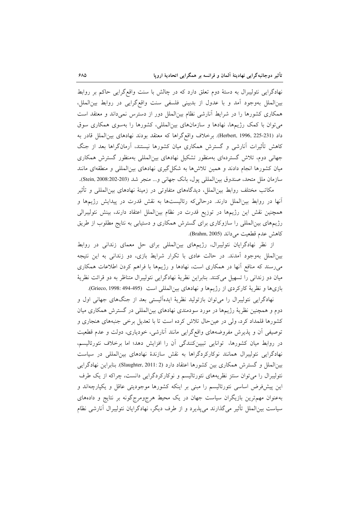نهادگرایی نئولیبرال به دستهٔ دوم تعلق دارد که در چالش با سنت واقع گرایی حاکم بر روابط بين|لملل بهوجود آمد و با عدول از بدبيني فلسفى سنت واقع گرايي در روابط بين|لملل، همکاری کشورها را در شرایط آنارشی نظام بینالملل دور از دسترس نمیداند و معتقد است میتوان با کمک رژیمها، نهادها و سازمانهای بینالمللی، کشورها را بهسوی همکاری سوق داد (Herbert, 1996, 225-231). برخلاف واقع گراها که معتقد بودند نهادهای بین|لملل قادر به کاهش تأثیرات آنارشی و گسترش همکاری میان کشورها نیستند، آرمانگراها بعد از جنگ جهانی دوم، تلاش گستردهای بهمنظور تشکیل نهادهای بین المللی بهمنظور گسترش همکاری میان کشورها انجام دادند و همین تلاشرها به شکل گیری نهادهای بین المللی و منطقهای مانند سازمان ملل متحد، صندوق بين|لمللي پول، بانک جهاني و... منجر شد (Stein, 2008:202-203).

مکاتب مختلف روابط بین(لملل، دیدگاههای متفاوتی در زمینهٔ نهادهای بین(لمللی و تأثیر آنها در روابط بین|لملل دارند. درحالیٍکه رئالیستها به نقش قدرت در پیدایش رژیمها و همچنین نقش این رژیمها در توزیع قدرت در نظام بینالملل اعتقاد دارند، بینش نئولیبرالی رژیمهای بینالمللی را سازوکاری برای گسترش همکاری و دستیابی به نتایج مطلوب از طریق كاهش عدم قطعيت مي داند (Brahm, 2005).

از نظر نهادگرایان نئولیبرال، رژیمهای بینالمللی برای حل معمای زندانی در روابط بینالملل بهوجود آمدند. در حالت عادی با تکرار شرایط بازی، دو زندانی به این نتیجه میرسند که منافع أنها در همکاری است، نهادها و رژیمها با فراهم کردن اطلاعات همکاری میان دو زندانی را تسهیل میکنند. بنابراین نظریهٔ نهادگرایی نئولیبرال متناظر به دو قرائت نظریهٔ بازي ها و نظرية كاركردي از رژيمها و نهادهاي بين المللي است (Grieco, 1998: 494-495).

نهادگرایی نئولیبرال را میٍتوان بازتولید نظریهٔ ایدهألیستی بعد از جنگهای جهانی اول و دوم و همچنین نظریهٔ رژیمها در مورد سودمندی نهادهای بینالمللی در گسترش همکاری میان کشورها قلمداد کرد، ولی در عینحال تلاش کرده است تا با تعدیل برخی جنبههای هنجاری و توصیفی آن و پذیرش مفروضههای واقعگرایی مانند آنارشی، خودیاری، دولت و عدم قطعیت در روابط میان کشورها، توانایی تبیینکنندگی آن را افزایش دهد؛ اما برخلاف نئورئالیسم، نهادگرایی نئولیبرال همانند نوکارکردگراها به نقش سازندهٔ نهادهای بینالمللی در سیاست بین الملل و گسترش همکاری بین کشورها اعتقاد دارد (Slaughter, 2011: 2). بنابراین نهادگرایی نئولیبرال را می توان سنتز نظریههای نئورئالیسم و نوکارکردگرایی دانست، چراکه از یک طرف این پیشفرض اساسی نئورئالیسم را مبنی بر اینکه کشورها موجودیتی عاقل و یکپارچهاند و بهعنوان مهمترین بازیگران سیاست جهان در یک محیط هرجومرجگونه بر نتایج و دادههای سیاست بین|لملل تأثیر میگذارند می،پذیرد و از طرف دیگر، نهادگرایان نئولیبرال آنارشی نظام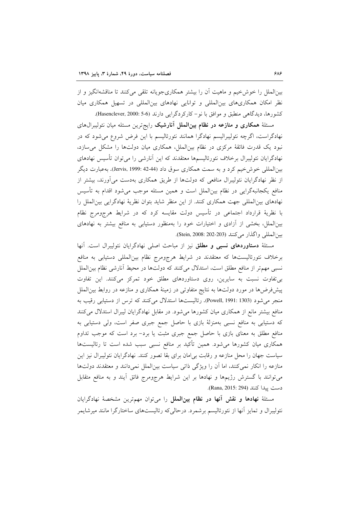بینالملل را خوشخیم و ماهیت آن را بیشتر همکاریجویانه تلقی می کنند تا مناقشهانگیز و از نظر امکان همکاریهای بینالمللی و توانایی نهادهای بینالمللی در تسهیل همکاری میان كشورها، ديدگاهي منطبق و موافق با نو-كاركردگرايي دارند (5-5 :Hasenclever, 2000).

مسئلهٔ همکاری و منازعه در نظام بینالملل آنارشیک رایجترین مسئله میان نئولیبرالهای نهادگراست، اگرچه نئولیبرالیسم نهادگرا همانند نئورئالیسم با این فرض شروع میشود که در نبود یک قدرت فائقهٔ مرکزی در نظام بینالملل، همکاری میان دولتها را مشکل میسازد، نهادگرایان نئولیبرال برخلاف نئورئالیسمها معتقدند که این آنارشی را می توان تأسیس نهادهای بین|لمللی خوش خیم کرد و به سمت همکاری سوق داد (44-42 :Jervis, 1999). بهعبارت دیگر از نظر نهادگرایان نئولیبرال منافعی که دولتها از طریق همکاری بهدست می[ورند، بیشتر از منافع یکجانبهگرایی در نظام بینالملل است و همین مسئله موجب میشود اقدام به تأسیس نهادهای بین|لمللی جهت همکاری کنند. از این منظر شاید بتوان نظریهٔ نهادگرایی بین|لملل را با نظریهٔ قرارداد اجتماعی در تأسیس دولت مقایسه کرد که در شرایط هرجومرج نظام بینالملل، بخشی از آزادی و اختیارات خود را بهمنظور دستیابی به منافع بیشتر به نهادهای بين المللي واگذار مي كنند (Stein, 2008: 202-203).

مسئلهٔ **دستاوردهای نسبی و مطلق** نیز از مباحث اصلی نهادگرایان نئولیبرال است. آنها برخلاف نئورئالیستها که معتقدند در شرایط هرجومرج نظام بینالمللی دستیابی به منافع نسبی مهمتر از منافع مطلق است، استدلال میکنند که دولتها در محیط آنارشی نظام بین الملل بی تفاوت نسبت به سایرین، روی دستاوردهای مطلق خود تمرکز میکنند. این تفاوت پیشفررضها در مورد دولتها به نتایج متفاوتی در زمینهٔ همکاری و منازعه در روابط بین الملل منجر می شود (Powell, 1991: 1303). رئالیستها استدلال می کنند که ترس از دستیابی رقیب به منافع بیشتر مانع از همکاری میان کشورها میشود. در مقابل نهادگرایان لیبرال استدلال میکنند که دستیابی به منافع نسبی بهمنزلهٔ بازی با حاصل جمع جبری صفر است، ولی دستیابی به منافع مطلق به معنای بازی با حاصل جمع جبری مثبت یا برد- برد است که موجب تداوم همکاری میان کشورها میشود. همین تأکید بر منافع نسبی سبب شده است تا رئالیستها سیاست جهان را محل منازعه و رقابت بی امان برای بقا تصور کنند. نهادگرایان نئولیبرال نیز این منازعه را انکار نمی کنند، اما آن را ویژگی ذاتی سیاست بینالملل نمی دانند و معتقدند دولتها می توانند با گسترش رژیمها و نهادها بر این شرایط هرجومرج فائق آیند و به منافع متقابل دست يبدا كنند (Rana, 2015: 294).

مسئلةً نهادها و نقش آنها در نظام بينالملل را مي توان مهم ترين مشخصةً نهادگرايان نئولیبرال و تمایز آنها از نئورئالیسم برشمرد. درحالی که رئالیستهای ساختارگرا مانند میرشایمر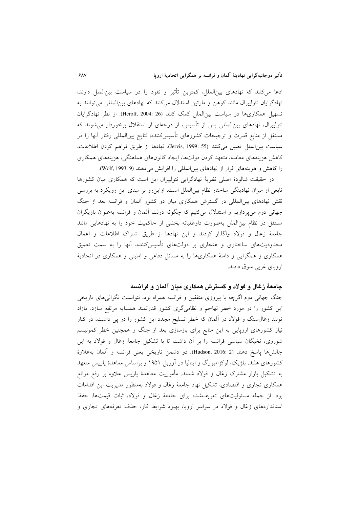ادعا میکنند که نهادهای بینالملل، کمترین تأثیر و نفوذ را در سیاست بینالملل دارند، نهادگرایان نئولیبرال مانند کوهن و مارتین استدلال میکنند که نهادهای بینالمللی می توانند به تسهیل همکاریها در سیاست بین|لملل کمک کنند (Herolf, 2004: 26). از نظر نهادگرایان نئولیبرال، نهادهای بین|لمللی پس از تأسیس، از درجهای از استقلال برخوردار میشوند که مستقل از منابع قدرت و ترجیحات کشورهای تأسیسکننده، نتایج بینالمللی رفتار آنها را در سياست بين الملل تعيين مي كنند (55 :Jervis, 1999). نهادها از طريق فراهم كردن اطلاعات، کاهش هزینههای معامله، متعهد کردن دولتها، ایجاد کانونهای هماهنگی، هزینههای همکاری را كاهش و هزینههای فرار از نهادهای بین المللی را افزایش می دهند (Wolf, 1993: 9).

در حقیقت شالودهٔ اصلی نظریهٔ نهادگرایی نئولیبرال این است که همکاری میان کشورها تابعی از میزان نهادینگی ساختار نظام بین|لملل است، ازاین٫رو بر مبنای این رویکرد به بررسی نقش نهادهای بین|لمللی در گسترش همکاری میان دو کشور آلمان و فرانسه بعد از جنگ جهانی دوم میپردازیم و استدلال میکنیم که چگونه دولت ألمان و فرانسه بهعنوان بازیگران مستقل در نظام بین الملل بهصورت داوطلبانه بخشی از حاکمیت خود را به نهادهایی مانند جامعهٔ زغال و فولاد واگذار کردند و این نهادها از طریق اشتراک اطلاعات و اعمال محدودیتهای ساختاری و هنجاری بر دولتهای تأسیس،کننده، آنها را به سمت تعمیق همکاری و همگرایی و دامنهٔ همکاریها را به مسائل دفاعی و امنیتی و همکاری در اتحادیهٔ اروپای غربی سوق دادند.

## جامعهٔ زغال و فولاد و گسترش همکاری میان آلمان و فرانسه

جنگ جهانی دوم اگرچه با پیروزی متفقین و فرانسه همراه بود، نتوانست نگرانیهای تاریخی این کشور را در مورد خطر تهاجم و نظامیگری کشور قدرتمند همسایه مرتفع سازد. مازاد تولید زغال سنگ و فولاد در آلمان که خطر تسلیح مجدد این کشور را در پی داشت، در کنار نیاز کشورهای اروپایی به این منابع برای بازسازی بعد از جنگ و همچنین خطر کمونیسم شوروی، نخبگان سیاسی فرانسه را بر آن داشت تا با تشکیل جامعهٔ زغال و فولاد به این چالشها پاسخ دهند (Hudson, 2016: 2). دو دشمن تاريخي يعني فرانسه و ألمان بهعلاوهٔ کشورهای هلند، بلژیک، لوکزامبورگ و ایتالیا در آوریل ۱۹۵۱ و براساس معاهدهٔ پاریس متعهد به تشکیل بازار مشترک زغال و فولاد شدند. مأموریت معاهدهٔ پاریس علاوه بر رفع موانع همکاری تجاری و اقتصادی، تشکیل نهاد جامعهٔ زغال و فولاد بهمنظور مدیریت این اقدامات بود. از جمله مسئولیتهای تعریفشده برای جامعهٔ زغال و فولاد، ثبات قیمتها، حفظ استانداردهای زغال و فولاد در سراسر اروپا، بهبود شرایط کار، حذف تعرفههای تجاری و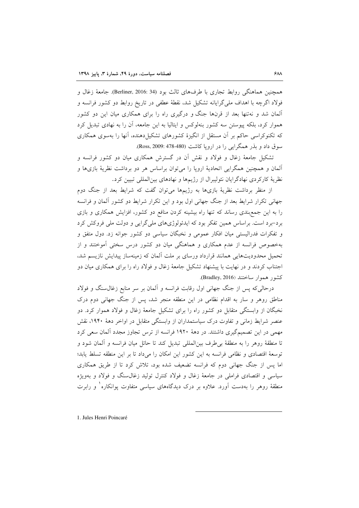همچنین هماهنگی روابط تجاری با طرفهای ثالث بود (Berliner, 2016: 34). جامعهٔ زغال و فولاد اگرچه با اهداف ملي گرايانه تشكيل شد، نقطهٔ عطفي در تاريخ روابط دو كشور فرانسه و آلمان شد و نه تنها بعد از قرنها جنگ و درگیری راه را برای همکاری میان این دو کشور هموار کرد، بلکه پیوستن سه کشور بنهلوکس و ایتالیا به این جامعه، آن را به نهادی تبدیل کرد که تکنوکراسی حاکم بر آن مستقل از انگیزهٔ کشورهای تشکیل دهنده، آنها را بهسوی همکاری سوق داد و بذر همگرايي را در ارويا كاشت (Ross, 2009: 478-480).

تشکیل جامعهٔ زغال و فولاد و نقش آن در گسترش همکاری میان دو کشور فرانسه و آلمان و همچنین همگرایی اتحادیهٔ اروپا را میٍتوان براساس هر دو برداشت نظریهٔ بازیها و نظریهٔ کارکردی نهادگرایان نئولیبرال از رژیمها و نهادهای بینالمللی تبیین کرد.

از منظر برداشت نظریهٔ بازیها به رژیمها می توان گفت که شرایط بعد از جنگ دوم جهانی تکرار شرایط بعد از جنگ جهانی اول بود و این تکرار شرایط دو کشور آلمان و فرانسه را به این جمع بندی رساند که تنها راه بیشینه کردن منافع دو کشور، افزایش همکاری و بازی برد-برد است. براساس همین تفکر بود که ایدئولوژیهای ملیگرایی و دولت ملی فروکش کرد و تفکرات فدرالیستی میان افکار عمومی و نخبگان سیاسی دو کشور جوانه زد. دول متفق و بهخصوص فرانسه از عدم همکاری و هماهنگی میان دو کشور درس سختی آموختند و از تحمیل محدودیتهایی همانند قرارداد ورسای بر ملت آلمان که زمینهساز پیدایش نازیسم شد، اجتناب کردند و در نهایت با پیشنهاد تشکیل جامعهٔ زغال و فولاد راه را برای همکاری میان دو كشور هموار ساختند (Bradley, 2016).

درحالی که پس از جنگ جهانی اول رقابت فرانسه و آلمان بر سر منابع زغال سنگ و فولاد مناطق روهر و سار به اقدام نظامی در این منطقه منجر شد، پس از جنگ جهانی دوم درک نخبگان از وابستگی متقابل دو کشور راه را برای تشکیل جامعهٔ زغال و فولاد هموار کرد. دو عنصر شرایط زمانی و تفاوت درک سیاستمداران از وابستگی متقابل در اواخر دههٔ ۱۹۴۰، نقش مهمی در این تصمیمگیری داشتند. در دههٔ ۱۹۲۰ فرانسه از ترس تجاوز مجدد آلمان سعی کرد تا منطقهٔ روهر را به منطقهٔ بی طرف بینالمللی تبدیل کند تا حائل میان فرانسه و آلمان شود و توسعهٔ اقتصادی و نظامی فرانسه به این کشور این امکان را می داد تا بر این منطقه تسلط پابد؛ اما پس از جنگ جهانی دوم که فرانسه تضعیف شده بود، تلاش کرد تا از طریق همکاری سیاسی و اقتصادی فراملی در جامعهٔ زغال و فولاد کنترل تولید زغال $\mathcal{P}$ سنگ و فولاد و بهویژه منطقهٔ روهر را بهدست آورد. علاوه بر درک دیدگاههای سیاسی متفاوت یوانکاره` و رابرت

1. Jules Henri Poincaré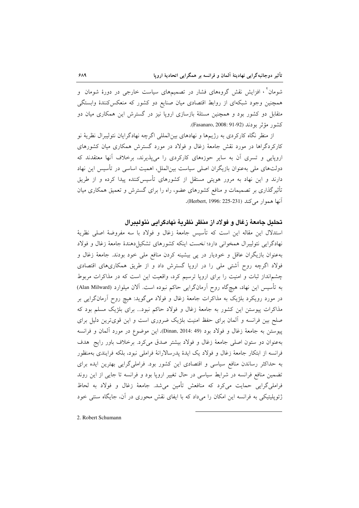شومان ٔ ، افزایش نقش گروههای فشار در تصمیمهای سیاست خارجی در دورهٔ شومان و همچنین وجود شبکهای از روابط اقتصادی میان صنایع دو کشور که منعکس کنندهٔ وابستگی متقابل دو کشور بود و همچنین مسئلهٔ بازسازی اروپا نیز در گسترش این همکاری میان دو كشور مؤثر بودند (Fasanaro, 2008: 91-92).

از منظر نگاه کارکردی به رژیمها و نهادهای بین|لمللی اگرچه نهادگرایان نئولیبرال نظریهٔ نو کارکردگراها در مورد نقش جامعهٔ زغال و فولاد در مورد گسترش همکاری میان کشورهای اروپایی و تسری آن به سایر حوزههای کارکردی را می پذیرند، برخلاف آنها معتقدند که دولتهای ملی بهعنوان بازیگران اصلی سیاست بین|لملل، اهمیت اساسی در تأسیس این نهاد دارند و این نهاد به مرور هویتی مستقل از کشورهای تأسیسکننده پیدا کرده و از طریق تأثیرگذاری بر تصمیمات و منافع کشورهای عضو، راه را برای گسترش و تعمیق همکاری میان آنها هموار می کند (Herbert, 1996: 225-231).

تحليل جامعةً زغال و فولاد از منظر نظريةً نهادكرايي نئوليبرال

استدلال این مقاله این است که تأسیس جامعهٔ زغال و فولاد با سه مفروضهٔ اصلی نظریهٔ نهادگرایی نئولیبرال همخوانی دارد؛ نخست اینکه کشورهای تشکیل دهندهٔ جامعهٔ زغال و فولاد بهعنوان بازیگران عاقل و خودیار در پی بیشینه کردن منافع ملی خود بودند. جامعهٔ زغال و فولاد اگرچه روح آشتی ملی را در اروپا گسترش داد و از طریق همکاریهای اقتصادی چشم|نداز ثبات و امنیت را برای اروپا ترسیم کرد، واقعیت این است که در مذاکرات مربوط به تأسيس اين نهاد، هيچگاه روح آرمانگرايي حاكم نبوده است. آلان ميلوارد (Alan Milward) در مورد رویکرد بلژیک به مذاکرات جامعهٔ زغال و فولاد میگوید: هیچ روح آرمانگرایی بر مذاکرات پیوستن این کشور به جامعهٔ زغال و فولاد حاکم نبود... برای بلژیک مسلم بود که صلح بین فرانسه و آلمان برای حفظ امنیت بلژیک ضروری است و این قویترین دلیل برای پیوستن به جامعهٔ زغال و فولاد بود (Dinan, 2014: 49). این موضوع در مورد آلمان و فرانسه بهعنوان دو ستون اصلی جامعهٔ زغال و فولاد بیشتر صدق می کرد. برخلاف باور رایج هدف فرانسه از ابتکار جامعهٔ زغال و فولاد یک ایدهٔ پدرسالارانهٔ فراملی نبود، بلکه فرایندی بهمنظور به حداکثر رساندن منافع سیاسی و اقتصادی این کشور بود. فراملیگرایی بهترین ایده برای تضمین منافع فرانسه در شرایط سیاسی در حال تغییر اروپا بود و فرانسه تا جایی از این روند فراملي گرايي حمايت مي كرد كه منافعش تأمين مي شد. جامعهٔ زغال و فولاد به لحاظ ژئوپلیتیکی به فرانسه این امکان را میداد که با ایفای نقش محوری در آن، جایگاه سنتی خود

2. Robert Schumann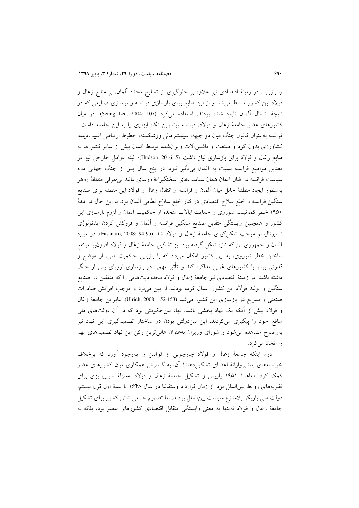را بازیابد. در زمینهٔ اقتصادی نیز علاوه بر جلوگیری از تسلیح مجدد آلمان، بر منابع زغال و فولاد این کشور مسلط می شد و از این منابع برای بازسازی فرانسه و نوسازی صنایعی که در نتيجة اشغال ألمان نابود شده بودند، استفاده مي كرد (Seung Lee, 2004: 107). در ميان کشورهای عضو جامعهٔ زغال و فولاد، فرانسه بیشترین نگاه ابزاری را به این جامعه داشت. فرانسه بهعنوان كانون جنگ ميان دو جبهه، سيستم مالي ورشكسته، خطوط ارتباطي آسيبديده، کشاورزی بدون کود و صنعت و ماشینآلات ویرانشده توسط آلمان بیش از سایر کشورها به منابع زغال و فولاد براي بازسازي نياز داشت (Hudson, 2016: 5)؛ البته عوامل خارجي نيز در تعدیل مواضع فرانسه نسبت به آلمان بیbتأثیر نبود. در پنج سال پس از جنگ جهانی دوم سیاست فرانسه در قبال آلمان همان سیاستهای سختگیرانهٔ ورسای مانند بی طرفی منطقهٔ روهر بهمنظور ايجاد منطقهٔ حائل ميان آلمان و فرانسه و انتقال زغال و فولاد اين منطقه براى صنايع سنگین فرانسه و خلع سلاح اقتصادی در کنار خلع سلاح نظامی آلمان بود. با این حال در دههٔ ۱۹۵۰ خطر کمونیسم شوروی و حمایت ایالات متحده از حاکمیت ألمان و لزوم بازسازی این کشور و همچنین وابستگی متقابل صنایع سنگین فرانسه و اَلمان و فروکش کردن ایدئولوژی ناسيوناليسم موجب شكل گيري جامعهٔ زغال و فولاد شد (Pasanaro, 2008: 94-95). در مورد آلمان و جمهوری بن که تازه شکل گرفته بود نیز تشکیل جامعهٔ زغال و فولاد افزون بر مرتفع ساختن خطر شوروی، به این کشور امکان میداد که با بازیابی حاکمیت ملی، از موضع و قدرتی برابر با کشورهای غربی مذاکره کند و تأثیر مهمی در بازسازی اروپای پس از جنگ داشته باشد. در زمینهٔ اقتصادی نیز جامعهٔ زغال و فولاد محدودیتهایی را که متفقین در صنایع سنگین و تولید فولاد این کشور اعمال کرده بودند، از بین میبرد و موجب افزایش صادرات صنعتی و تسریع در بازسازی این کشور می شد (Ulrich, 2008: 152-153). بنابراین جامعهٔ زغال و فولاد بیش از آنکه یک نهاد بخشی باشد، نهاد بینحکومتی بود که در آن دولتهای ملی منافع خود را پیگیری میکردند. این بیندولتی بودن در ساختار تصمیمگیری این نهاد نیز بهوضوح مشاهده میشود و شورای وزیران بهعنوان عالیترین رکن این نهاد تصمیمهای مهم را اتخاذ می کرد.

دوم اینکه جامعهٔ زغال و فولاد چارچوبی از قوانین را بهوجود آورد که برخلاف خواستههای بلندپروازانهٔ اعضای تشکیلدهندهٔ آن، به گسترش همکاری میان کشورهای عضو کمک کرد. معاهدهٔ ۱۹۵۱ پاریس و تشکیل جامعهٔ زغال و فولاد بهمنزلهٔ سورپرایزی برای نظريههاى روابط بين الملل بود. از زمان قرارداد وستفاليا در سال ١۶۴۸ تا نيمة اول قرن بيستم، دولت ملی بازیگر بلامنازع سیاست بین|لملل بودند، اما تصمیم جمعی شش کشور برای تشکیل جامعهٔ زغال و فولاد نهتنها به معنى وابستگى متقابل اقتصادى كشورهاى عضو بود، بلكه به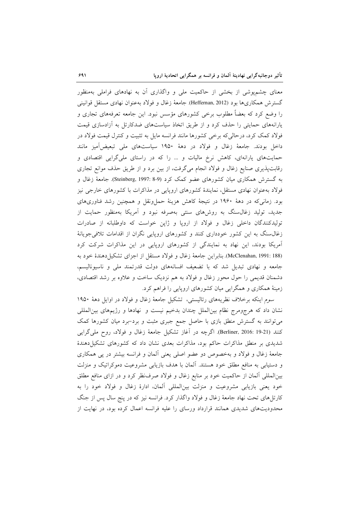معنای چشمپوشی از بخشی از حاکمیت ملی و واگذاری آن به نهادهای فراملی بهمنظور گسترش همکاریها بود (Heffernan, 2012) جامعهٔ زغال و فولاد بهعنوان نهادی مستقل قوانینی را وضع کرد که بعضاً مطلوب برخی کشورهای مؤسس نبود. این جامعه تعرفههای تجاری و یارانههای حمایتی را حذف کرد و از طریق اتخاذ سیاستهای ضدکارتل به آزادسازی قیمت فولاد کمک کرد، درحالیکه برخی کشورها مانند فرانسه مایل به تثبیت و کنترل قیمت فولاد در داخل بودند. جامعهٔ زغال و فولاد در دههٔ ۱۹۵۰ سیاستهای ملی تبعیضآمیز مانند حمایتهای یارانهای، کاهش نرخ مالیات و ... را که در راستای ملیگرایی اقتصادی و رقابتپذیری صنایع زغال و فولاد انجام میگرفت، از بین برد و از طریق حذف موانع تجاری به گسترش همکاری میان کشورهای عضو کمک کرد (Steinberg, 1997: 8-9). جامعهٔ زغال و فولاد بهعنوان نهادی مستقل، نمایندهٔ کشورهای اروپایی در مذاکرات با کشورهای خارجی نیز بود. زمانی که در دههٔ ۱۹۶۰ در نتیجهٔ کاهش هزینهٔ حما ونقل و همچنین رشد فناوریهای جدید، تولید زغال $سنگ به روشهای سنتی بهصرفه نبود و اَمریکا بهمنظور حمایت از$ تولیدکنندگان داخلی زغال و فولاد از اروپا و ژاپن خواست که داوطلبانه از صادرات زغالسنگ به این کشور خودداری کنند و کشورهای اروپایی نگران از اقدامات تلافی جویانهٔ آمریکا بودند، این نهاد به نمایندگی از کشورهای اروپایی در این مذاکرات شرکت کرد (McClenahan, 1991: 188). بنابراین جامعهٔ زغال و فولاد مستقل از اجزای تشکیل دهندهٔ خود به جامعه و نهادی تبدیل شد که با تضعیف افسانههای دولت قدرتمند ملی و ناسیونالیسم، دشمنان قدیمی را حول محور زغال و فولاد به هم نزدیک ساخت و علاوه بر رشد اقتصادی، زمینهٔ همکاری و همگرایی میان کشورهای اروپایی را فراهم کرد.

سوم اینکه برخلاف نظریههای رئالیستی، تشکیل جامعهٔ زغال و فولاد در اوایل دههٔ ۱۹۵۰ نشان داد که هرجومرج نظام بینالملل چندان بدخیم نیست و نهادها و رژیمهای بینالمللی میتوانند به گسترش منطق بازی با حاصل جمع جبری مثبت و برد-برد میان کشورها کمک كنند (Berliner, 2016: 19-21). اگرچه در آغاز تشكيل جامعهٔ زغال و فولاد، روح مليگرايي شدیدی بر منطق مذاکرات حاکم بود، مذاکرات بعدی نشان داد که کشورهای تشکیل دهندهٔ جامعهٔ زغال و فولاد و بهخصوص دو عضو اصلی یعنی آلمان و فرانسه بیشتر در پی همکاری و دستیابی به منافع مطلق خود هستند. آلمان با هدف بازیابی مشروعیت دموکراتیک و منزلت بینالمللی آلمان از حاکمیت خود بر منابع زغال و فولاد صرف نظر کرد و در ازای منافع مطلق خود یعنی بازیابی مشروعیت و منزلت بینالمللی آلمان، ادارهٔ زغال و فولاد خود را به کارتلهای تحت نهاد جامعهٔ زغال و فولاد واگذار کرد. فرانسه نیز که در پنج سال پس از جنگ محدودیتهای شدیدی همانند قرارداد ورسای را علیه فرانسه اعمال کرده بود، در نهایت از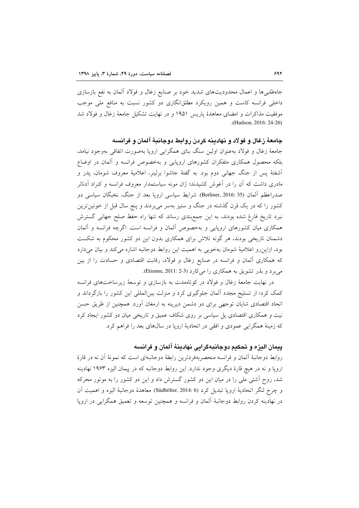جاهطلبیها و اعمال محدودیتهای شدید خود بر صنایع زغال و فولاد آلمان به نفع بازسازی داخلی فرانسه کاست و همین رویکرد مطلقانگاری دو کشور نسبت به منافع ملی موجب موفقیت مذاکرات و امضای معاهدهٔ پاریس ۱۹۵۱ و در نهایت تشکیل جامعهٔ زغال و فولاد شد .(Hudson, 2016: 24-26)

جامعهٔ زغال و فولاد و نهادینه کردن روابط دوجانبهٔ آلمان و فرانسه

جامعهٔ زغال و فولاد بهعنوان اولین سنگ بنای همگرایی اروپا بهصورت اتفاقی بهوجود نیامد، بلکه محصول همکاری متفکران کشورهای اروپایی و بهخصوص فرانسه و آلمان در اوضاع اَشفتهٔ پس از جنگ جهانی دوم بود. به گفتهٔ جاشوا برلینر، اعلامیهٔ معروف شومان، پدر و مادری داشت که آن را در آغوش کشیدند؛ ژان مونه سیاستمدار معروف فرانسه و کنراد آدنائر صدراعظم آلمان (Berliner, 2016: 35). شرايط سياسي اروپا بعد از جنگ، نخبگان سياسي دو کشور را که در یک قرن گذشته در جنگ و ستیز بهسر میبردند و پنج سال قبل از خونینترین نبرد تاریخ فارغ شده بودند، به این جمع بندی رساند که تنها راه حفظ صلح جهانی گسترش همکاری میان کشورهای اروپایی و بهخصوص آلمان و فرانسه است. اگرچه فرانسه و آلمان دشمنان تاریخی بودند، هر گونه تلاش برای همکاری بدون این دو کشور محکوم به شکست بود، ازاین رو اعلامیهٔ شومان بهخوبی به اهمیت این روابط دوجانبه اشاره می کند و بیان می دارد که همکاری آلمان و فرانسه در صنایع زغال و فولاد، رقابت اقتصادی و حسادت را از بین می برد و بذر تشویق به همکاری را می کارد (3-2 :Etienne, 2011).

در نهایت جامعهٔ زغال و فولاد در کوتاهمدت به بازسازی و توسعهٔ زیرساختهای فرانسه کمک کرد؛ از تسلیح مجدد اَلمان جلوگیری کرد و منزلت بین|لمللی این کشور را بازگرداند و اتحاد اقتصادی شایان توجهی برای دو دشمن دیرینه به ارمغان آورد. همچنین از طریق حسن نیت و همکاری اقتصادی پل سیاسی بر روی شکاف عمیق و تاریخی میان دو کشور ایجاد کرد که زمینهٔ همگرایی عمودی و افقی در اتحادیهٔ اروپا در سالهای بعد را فراهم کرد.

# ييمان اليزه و تحكيم دوجانبهگرايي نهادينة آلمان و فرانسه

روابط دوجانبهٔ آلمان و فرانسه منحصربهفردترین رابطهٔ دوجانبهای است که نمونهٔ آن نه در قارهٔ اروپا و نه در هیچ قارهٔ دیگری وجود ندارد. این روابط دوجانبه که در پیمان الیزه ۱۹۶۳ نهادینه شد، روح آشتی ملی را در میان این دو کشور گسترش داد و این دو کشور را به موتور محرکه و چرخ لنگر اتحادیهٔ اروپا تبدیل کرد (Südhölter, 2014: 6). معاهدهٔ دوجانبهٔ الیزه و اهمیت اَن در نهادینه کردن روابط دوجانبهٔ آلمان و فرانسه و همچنین توسعه و تعمیق همگرایی در اروپا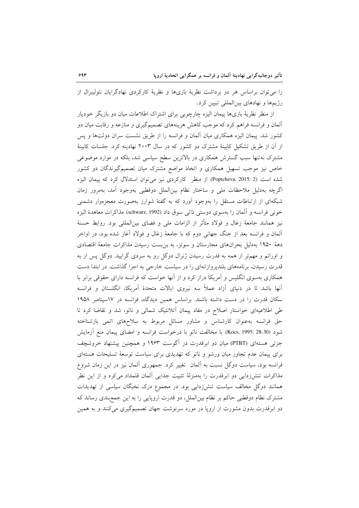را میتوان براساس هر دو برداشت نظریهٔ بازیها و نظریهٔ کارکردی نهادگرایان نئولیبرال از رژیمها و نهادهای بین المللی تبیین کرد.

از منظر نظریهٔ بازیها پیمان الیزه چارچوبی برای اشتراک اطلاعات میان دو بازیگر خودیار آلمان و فرانسه فراهم کرد که موجب کاهش هزینههای تصمیمگیری و منازعه و رقابت میان دو کشور شد. پیمان الیزه همکاری میان آلمان و فرانسه را از طریق نشست سران دولتها و پس از آن از طریق تشکیل کابینهٔ مشترک دو کشور که در سال ۲۰۰۳ نهادینه کرد. جلسات کابینهٔ مشترک نهتنها سبب گسترش همکاری در بالاترین سطح سیاسی شد، بلکه در موارد موضوعی خاص نیز موجب تسهیل همکاری و اتخاذ مواضع مشترک میان تصمیمگیرندگان دو کشور شده است (Poptcheva, 2015: 2). از منظر كاركردى نيز مى توان استدلال كرد كه پيمان اليزه اگرچه بهدلیل ملاحظات ملی و ساختار نظام بین|لملل دوقطبی بهوجود آمد، بهمرور زمان شبکهای از ارتباطات مستقل را بهوجود آورد که به گفتهٔ شوارز بهصورت معجزهوار دشمنی خوني فرانسه و ألمان را بهسوى دوستي ذاتي سوق داد (schwarz, 1992) مذاكرات معاهدهٔ اليزه نیز همانند جامعهٔ زغال و فولاد متأثر از الزامات ملی و فضای بین|لمللی بود. روابط حسنهٔ آلمان و فرانسه بعد از جنگ جهانی دوم که با جامعهٔ زغال و فولاد آغاز شده بود، در اواخر دههٔ ۱۹۵۰ بهدلیل بحرانهای مجارستان و سوئز، به بن بست رسیدن مذاکرات جامعهٔ اقتصادی و اوراتم و مهمتر از همه به قدرت رسیدن ژنرال دوگل رو به سردی گرایید. دوگل پس از به قدرت رسیدن، برنامههای بلندپروازانهای را در سیاست خارجی به اجرا گذاشت. در ابتدا دست همکاری بهسوی انگلیس و آمریکا دراز کرد و از آنها خواست که فرانسه دارای حقوقی برابر با آنها باشد تا در دنیای آزاد عملاً سه نیروی ایالات متحدهٔ آمریکا، انگلستان و فرانسه سکان قدرت را در دست داشته باشند. براساس همین دیدگاه، فرانسه در ١٧سپتامبر ١٩۵٨ طی اطلاعیهای خواستار اصلاح در مفاد پیمان آتلانتیک شمالی و ناتو، شد و تقاضا کرد تا حق فرانسه بهعنوان كارشناس و مشاور مسائل مربوط به سلاحهاى اتمى بازشناخته شود (Kocs, 1995: 28-30). با مخالفت ناتو با درخواست فرانسه و امضای پیمان منع آزمایش جزئی هستهای (PTBT) میان دو ابرقدرت در آگوست ۱۹۶۳ و همچنین پیشنهاد خروشچف برای پیمان عدم تجاوز میان ورشو و ناتو که تهدیدی برای سیاست توسعهٔ تسلیحات هستهای فرانسه بود، سیاست دوگل نسبت به آلمان تغییر کرد. جمهوری آلمان نیز در این زمان شروع مذاکرات تنش(دایی دو ابرقدرت را بهمنزلهٔ تثبیت جدایی آلمان قلمداد میکرد و از این نظر همانند دوگل مخالف سیاست تنشرزدایی بود. در مجموع درک نخبگان سیاسی از تهدیدات مشترک نظام دوقطبی حاکم بر نظام بین|لملل، دو قدرت اروپایی را به این جمع بندی رساند که دو ابرقدرت بدون مشورت از اروپا در مورد سرنوشت جهان تصمیمگیری میکنند و به همین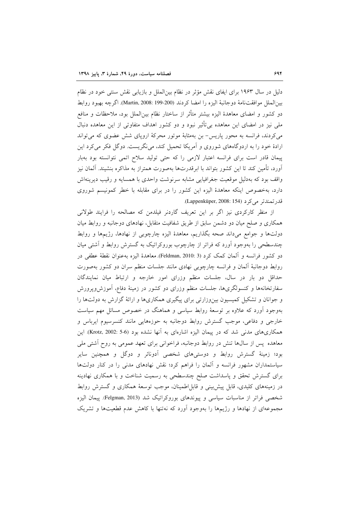دلیل در سال ۱۹۶۳ برای ایفای نقش مؤثر در نظام بین|لملل و بازیابی نقش سنتی خود در نظام بين الملل مو افقت نامة دو جانبة اليزه را امضا كردند (200-199 :Martin, 2008). اگرچه بهبود روابط دو کشور و امضای معاهدهٔ الیزه بیشتر متأثر از ساختار نظام بین|لملل بود، ملاحظات و منافع ملی نیز در امضای این معاهده بی تأثیر نبود و دو کشور اهداف متفاوتی از این معاهده دنبال می کردند، فرانسه به محور پاریس- بن بهمثابهٔ موتور محرکهٔ اروپای شش عضوی که می تواند ارادهٔ خود را به اردوگاههای شوروی و آمریکا تحمیل کند، می نگریست. دوگل فکر می کرد این پیمان قادر است برای فرانسه اعتبار لازمی را که حتی تولید سلاح اتمی نتوانسته بود بهبار آورد، تأمین کند تا این کشور بتواند با ابرقدرتها بهصورت همتراز به مذاکره بنشیند. آلمان نیز واقف بود که بهدلیل موقعیت جغرافیایی مشابه سرنوشت واحدی با همسایه و رقیب دیرینهاش دارد، بهخصوص اینکه معاهدهٔ الیزه این کشور را در برای مقابله با خطر کمونیسم شوروی قلار تمندتر می کر د (Lappenküper, 2008: 154).

از منظر کارکردی نیز اگر بر این تعریف گاردنر فیلدمن که مصالحه را فرایند طولانی همکاری و صلح میان دو دشمن سابق از طریق شفافیت متقابل، نهادهای دوجانبه و روابط میان دولتها و جوامع میداند صحه بگذاریم، معاهدهٔ الیزه چارچوبی از نهادها، رژیمها و روابط چندسطحی را بهوجود آورد که فراتر از چارچوب بوروکراتیک به گسترش روابط و آشتی میان دو كشور فرانسه و آلمان كمك كرد (Feldman, 2010: 3). معاهدهٔ اليزه بهعنوان نقطهٔ عطفى در روابط دوجانبهٔ ألمان و فرانسه چارچوبی نهادی مانند جلسات منظم سران دو کشور بهصورت حداقل دو بار در سال، جلسات منظم وزراى امور خارجه و ارتباط ميان نمايندگان سفارتخانهها و کنسولگریها، جلسات منظم وزرای دو کشور در زمینهٔ دفاع، آموزش ویرورش و جوانان و تشکیل کمیسیون بین وزارتی برای پیگیری همکاریها و ارائهٔ گزارش به دولتها را بهوجود آورد که علاوه بر توسعهٔ روابط سیاسی و هماهنگ در خصوص مسائل مهم سیاست خارجي و دفاعي، موجب گسترش روابط دوجانبه به حوزههايي مانند كنسرسيوم ايرباس و همکاریهای مدنی شد که در پیمان الیزه اشارهای به آنها نشده بود (Krotz, 2002: 5-6). این معاهده پس از سالها تنش در روابط دوجانبه، فراخوانی برای تعهد عمومی به روح آشتی ملی بود؛ زمینهٔ گسترش روابط و دوستیهای شخصی آدونائر و دوگل و همچنین سایر سیاستمداران مشهور فرانسه و آلمان را فراهم کرد؛ نقش نهادهای مدنی را در کنار دولتها برای گسترش تحقق و پاسداشت صلح چندسطحی به رسمیت شناخت و با همکاری نهادینه در زمینههای کلیدی، قابل پیشبینی و قابل|طمینان، موجب توسعهٔ همکاری و گسترش روابط شخصی فراتر از مناسبات سیاسی و پیوندهای بوروکراتیک شد (Felgman, 2013). پیمان الیزه مجموعهای از نهادها و رژیمها را بهوجود آورد که نهتنها با کاهش عدم قطعیتها و تشریک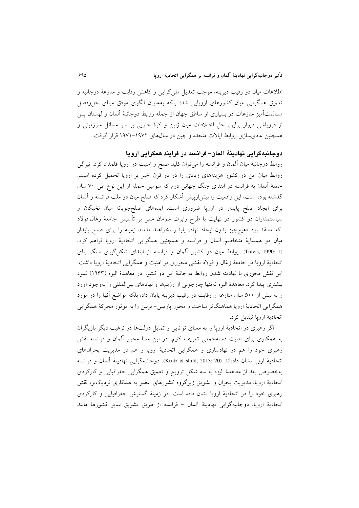اطلاعات میان دو رقیب دیرینه، موجب تعدیل ملی گرایی و کاهش رقابت و منازعهٔ دوجانبه و تعمیق همگرایی میان کشورهای اروپایی شد؛ بلکه بهعنوان الگوی موفق مبنای حل وفصل مسالمتآمیز منازعات در بسیاری از مناطق جهان از جمله روابط دوجانبهٔ آلمان و لهستان پس از فروپاشی دیوار برلین، حل اختلافات میان ژاپن و کرهٔ جنوبی بر سر مسائل سرزمینی و همچنین عادیسازی روابط ایالات متحده و چین در سالهای ۱۹۷۲–۱۹۷۱ قرار گرفت.

### دوجانبهگرايي نهادينهٔ آلمان–فرانسه در فرايند همگرايي اروپا

روابط دوجانبهٔ میان آلمان و فرانسه را میتوان کلید صلح و امنیت در اروپا قلمداد کرد. تیرگی روابط میان این دو کشور هزینههای زیادی را در دو قرن اخیر بر اروپا تحمیل کرده است. حملهٔ آلمان به فرانسه در ابتدای جنگ جهانی دوم که سومین حمله از این نوع طی ۷۰ سال گذشته بوده است، این واقعیت را بیش[زییش آشکار کرد که صلح میان دو ملت فرانسه و آلمان برای ایجاد صلح پایدار در اروپا ضروری است. ایدههای صلح،جویانه میان نخبگان و سیاستمداران دو کشور در نهایت با طرح رابرت شومان مبنی بر تأسیس جامعهٔ زغال فولاد که معتقد بود «هیچچیز بدون ایجاد نهاد، پایدار نخواهند ماند»، زمینه را برای صلح پایدار میان دو همسایهٔ متخاصم آلمان و فرانسه و همچنین همگرایی اتحادیهٔ اروپا فراهم کرد. (Travis, 1990: 1). روابط میان دو کشور آلمان و فرانسه از ابتدای شکل گیری سنگ بنای اتحادیهٔ اروپا در جامعهٔ زغال و فولاد نقشی محوری در امنیت و همگرایی اتحادیهٔ اروپا داشت. این نقش محوری با نهادینه شدن روابط دوجانبهٔ این دو کشور در معاهدهٔ الیزه (۱۹۶۳) نمود بیشتری پیدا کرد. معاهدهٔ الیزه نهتنها چارچوبی از رژیمها و نهادهای بین|لمللی را بهوجود آورد و به بیش از ۵۰۰ سال منازعه و رقابت دو رقیب دیرینه پایان داد، بلکه مواضع آنها را در مورد همگرایی اتحادیهٔ اروپا هماهنگتر ساخت و محور پاریس- برلین را به موتور محرکهٔ همگرایی اتحاديهٔ ارويا تبديل كرد.

اگر رهبری در اتحادیهٔ اروپا را به معنای توانایی و تمایل دولتها در ترغیب دیگر بازیگران به همکاری برای امنیت دستهجمعی تعریف کنیم، در این معنا محور آلمان و فرانسه نقش رهبری خود را هم در نهادسازی و همگرایی اتحادیهٔ اروپا و هم در مدیریت بحرانهای اتحادية اروپا نشان دادهاند (2013: 2013 Krotz & shild,). دوجانبهگرايي نهادينة آلمان و فرانسه بهخصوص بعد از معاهدهٔ الیزه به سه شکل ترویج و تعمیق همگرایی جغرافیایی و کارکردی اتحادیهٔ اروپا، مدیریت بحران و تشویق زیرگروه کشورهای عضو به همکاری نزدیکتر، نقش رهبری خود را در اتحادیهٔ اروپا نشان داده است. در زمینهٔ گسترش جغرافیایی و کارکردی اتحادية اروپا، دوجانبهگرايي نهادينة آلمان – فرانسه از طريق تشويق ساير كشورها مانند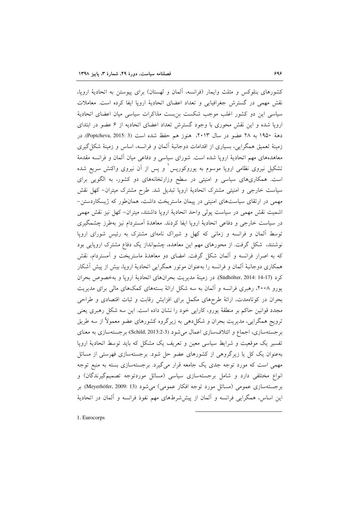کشورهای بنلوکس و مثلث وایمار (فرانسه، آلمان و لهستان) برای پیوستن به اتحادیهٔ اروپا، نقش مهمی در گسترش جغرافیایی و تعداد اعضای اتحادیهٔ اروپا ایفا کرده است. معاملات سیاسی این دو کشور اغلب موجب شکست بن بست مذاکرات سیاسی میان اعضای اتحادیهٔ اروپا شده و این نقش محوری با وجود گسترش تعداد اعضای اتحادیه از ۶ عضو در ابتدای دههٔ ۱۹۵۰ به ۲۸ عضو در سال ۲۰۱۳، هنوز هم حفظ شده است (Poptcheva, 2015: 3). در زمینهٔ تعمیق همگرایی، بسیاری از اقدامات دوجانبهٔ آلمان و فرانسه، اساس و زمینهٔ شکل گیری معاهدههای مهم اتحادیهٔ اروپا شده است. شورای سیاسی و دفاعی میان آلمان و فرانسه مقدمهٔ تشکیل نیروی نظامی اروپا موسوم به یوروکوریس ٰ و پس از آن نیروی واکنش سریع شده است. همکاریهای سیاسی و امنیتی در سطح وزارتخانههای دو کشور، به الگویی برای سیاست خارجی و امنیتی مشترک اتحادیهٔ اروپا تبدیل شد. طرح مشترک میتران– کهل نقش مهمی در ارتقای سیاستهای امنیتی در پیمان ماستریخت داشت، همانطور که ژیسکاردستن-اشمیت نقش مهمی در سیاست پولی واحد اتحادیهٔ اروپا داشتند، میتران- کهل نیز نقش مهمی در سیاست خارجی و دفاعی اتحادیهٔ اروپا ایفا کردند. معاهدهٔ اَمستردام نیز بهطرز چشمگیری توسط آلمان و فرانسه و زمانی که کهل و شیراک نامهای مشترک به رئیس شورای اروپا نوشتند، شکل گرفت. از محورهای مهم این معاهده، چشمانداز یک دفاع مشترک اروپایی بود که به اصرار فرانسه و آلمان شکل گرفت. امضای دو معاهدهٔ ماستریخت و آمستردام، نقش همکاری دوجانبهٔ اَلمان و فرانسه را بهعنوان موتور همگرایی اتحادیهٔ اروپا، بیش از پیش اَشکار كرد (Südhölter, 2014: 14-17). در زمينهٔ مديريت بحرانهاي اتحاديهٔ ارويا و بهخصوص بحران یورو ۲۰۰۸، رهبری فرانسه و آلمان به سه شکل ارائهٔ بستههای کمکهای مالی برای مدیریت بحران در کوتاهمدت، ارائهٔ طرحهای مکمل برای افزایش رقابت و ثبات اقتصادی و طراحی مجدد قوانین حاکم بر منطقهٔ یورو، کارایی خود را نشان داده است. این سه شکل رهبری یعنی ترویج همگرایی، مدیریت بحران و شکلدهی به زیرگروه کشورهای عضو معمولاً از سه طریق برجستهسازی، اجماع و ائتلافسازی اعمال میشود (3-3:3013 Schild, 201)؛ برجستهسازی به معنای تفسیر یک موقعیت و شرایط سیاسی معین و تعریف یک مشکل که باید توسط اتحادیهٔ اروپا بهعنوان یک کل یا زیرگروهی از کشورهای عضو حل شود. برجستهسازی فهرستی از مسائل مهمی است که مورد توجه جدی یک جامعه قرار میگیرد. برجستهسازی بسته به منبع توجه انواع مختلفی دارد و شامل برجستهسازی سیاسی (مسائل موردتوجه تصمیمگیرندگان) و برجستهسازی عمومی (مسائل مورد توجه افکار عمومی) می شود (Meyerhöfer, 2009: 13). بر این اساس، همگرایی فرانسه و آلمان از پیششرطهای مهم نفوذ فرانسه و آلمان در اتحادیهٔ

1. Eurocorps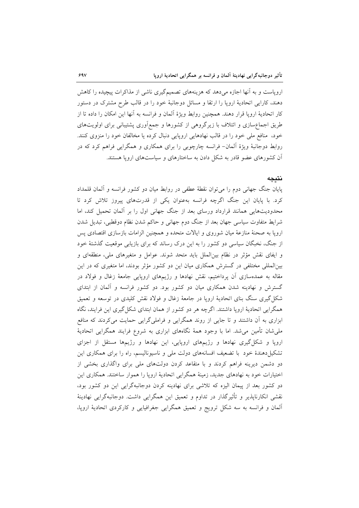اروپاست و به آنها اجازه میدهد که هزینههای تصمیمگیری ناشی از مذاکرات پیچیده را کاهش دهند، کارایی اتحادیهٔ اروپا را ارتقا و مسائل دوجانبهٔ خود را در قالب طرح مشترک در دستور كار اتحاديهٔ اروپا قرار دهند. همچنين روابط ويژهٔ آلمان و فرانسه به آنها اين امكان را داده تا از طریق اجماع سازی و ائتلاف با زیرگروهی از کشورها و جمع آوری پشتیبانی برای اولویتهای خود، منافع ملي خود را در قالب نهادهايي اروپايي دنبال كرده يا مخالفان خود را منزوى كنند. روابط دوجانبهٔ ویژهٔ آلمان- فرانسه چارچوبی را برای همکاری و همگرایی فراهم کرد که در آن کشورهای عضو قادر به شکل دادن به ساختارهای و سیاستهای اروپا هستند.

#### نتيجه

پایان جنگ جهانی دوم را میتوان نقطهٔ عطفی در روابط میان دو کشور فرانسه و آلمان قلمداد کرد. با پایان این جنگ اگرچه فرانسه بهعنوان یکی از قدرتهای پیروز تلاش کرد تا محدودیتهایی همانند قرارداد ورسای بعد از جنگ جهانی اول را بر آلمان تحمیل کند، اما شرایط متفاوت سیاسی جهان بعد از جنگ دوم جهانی و حاکم شدن نظام دوقطبی، تبدیل شدن اروپا به صحنهٔ منازعهٔ میان شوروی و ایالات متحده و همچنین الزامات بازسازی اقتصادی پس از جنگ، نخبگان سیاسی دو کشور را به این درک رساند که برای بازیابی موقعیت گذشتهٔ خود و ایفای نقش مؤثر در نظام بین(لملل باید متحد شوند. عوامل و متغیرهای ملی، منطقهای و بینالمللی مختلفی در گسترش همکاری میان این دو کشور مؤثر بودند، اما متغیری که در این مقاله به عمدهسازی آن پرداختیم، نقش نهادها و رژیمهای اروپایی جامعهٔ زغال و فولاد در گسترش و نهادینه شدن همکاری میان دو کشور بود. دو کشور فرانسه و آلمان از ابتدای شکل گیری سنگ بنای اتحادیهٔ اروپا در جامعهٔ زغال و فولاد نقش کلیدی در توسعه و تعمیق همگرایی اتحادیهٔ اروپا داشتند. اگرچه هر دو کشور از همان ابتدای شکل گیری این فرایند، نگاه ابزاری به آن داشتند و تا جایی از روند همگرایی و فراملیگرایی حمایت میکردند که منافع ملیشان تأمین میشد. اما با وجود همهٔ نگاههای ابزاری به شروع فرایند همگرایی اتحادیهٔ اروپا و شکل گیری نهادها و رژیمهای اروپایی، این نهادها و رژیمها مستقل از اجزای تشکیل دهندهٔ خود با تضعیف افسانههای دولت ملی و ناسیونالیسم، راه را برای همکاری این دو دشمن دیرینه فراهم کردند و با متقاعد کردن دولتهای ملی برای واگذاری بخشی از اختیارات خود به نهادهای جدید، زمینهٔ همگرایی اتحادیهٔ اروپا را هموار ساختند. همکاری این دو کشور بعد از پیمان الیزه که تلاشی برای نهادینه کردن دوجانبهگرایی این دو کشور بود، نقشی انکارناپذیر و تأثیرگذار در تداوم و تعمیق این همگرایی داشت. دوجانبهگرایی نهادینهٔ آلمان و فرانسه به سه شکل ترویج و تعمیق همگرایی جغرافیایی و کارکردی اتحادیهٔ اروپا،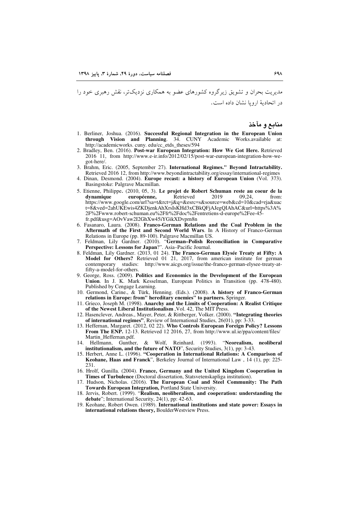مدیریت بحران و تشویق زیرگروه کشورهای عضو به همکاری نزدیکتر، نقش رهبری خود را در اتحادیهٔ اروپا نشان داده است.

منابع و مآخذ

- 1. Berliner, Joshua. (2016). Successful Regional Integration in the European Union Academic Works.available at: through Vision and Planning. 34. CUNY http://academicworks.cuny.edu/cc\_etds\_theses/594
- 2. Bradley, Ben. (2016). Post-war European Integration: How We Got Here. Retrieved 2016 11, from http://www.e-ir.info/2012/02/15/post-war-european-integration-how-wegot-here/
- 3. Brahm, Eric. (2005, September 27). International Regimes." Beyond Intractability. Retrieved 2016 12, from http://www.beyondintractability.org/essay/international-regimes
- 4. Dinan, Desmond. (2004). Europe recast: a history of European Union (Vol. 373). Basingstoke: Palgrave Macmillan.
- 5. Etienne, Philippe. (2010, 05, 3). Le projet de Robert Schuman reste au coeur de la européenne, 2019 09.24. dvnamique Retrieved from: https://www.google.com/url?sa=t&rct=j&q=&esrc=s&source=web&cd=10&cad=rja&uac t=8&ved=2ahUKEwis4ZKDjenkAhXrsIsKHd3xCBkQFjAJegQIAhAC&url=https%3A% 2F%2Fwww.robert-schuman.eu%2Ffr%2Fdoc%2Fentretiens-d-europe%2Fee-45fr.pdf&usg=AOvVaw2I2GhXw45iYGikXDvprn8n
- 6. Fasanaro, Laura. (2008). Franco-German Relations and the Coal Problem in the Aftermath of the First and Second World Wars. In A History of Franco-German Relations in Europe (pp. 89-100). Palgrave Macmillan US.
- 7. Feldman, Lily Gardner. (2010). "German-Polish Reconciliation in Comparative Perspective: Lessons for Japan?". Asia-Pacific Journal.
- 8. Feldman, Lily Gardner. (2013, 01 24). The Franco-German Elysée Treaty at Fifty: A Model for Others? Retrieved 01 21, 2017, from american institute for german contemporary studies: http://www.aicgs.org/issue/the-franco-german-elysee-treaty-atfifty-a-model-for-others.
- 9. George, Ross. (2009). Politics and Economics in the Development of the European Union. In J. K. Mark Kesselman, European Politics in Transition (pp. 478-480). Published by Cengage Learning.
- 10. Germond, Carine., & Türk, Henning. (Eds.). (2008). A history of Franco-German relations in Europe: from'' hereditary enemies'' to partners. Springer.
- 11. Grieco, Joseph M. (1998). Anarchy and the Limits of Cooperation: A Realist Critique of the Newest Liberal Institutionalism, Vol. 42, The MIT Press.
- 12. Hasenclever, Andreas., Mayer, Peter, & Rittberger, Volker. (2000). "Integrating theories of international regimes", Review of International Studies,  $26(01)$ , pp: 3-33.
- 13. Heffernan, Margaret. (2012, 02 22). Who Controls European Foreign Policy? Lessons From The ENP. 12-13. Retrieved 12 2016, 27, from http://www.ul.ie/ppa/content/files/ Martin Heffernan.pdf.
- 14. Hellmann. Gunther. & Wolf, Reinhard. (1993). "Neorealism, neoliberal institutionalism, and the future of NATO", Security Studies, 3(1), pp: 3-43.
- 15. Herbert, Anne L. (1996). "Cooperation in International Relations: A Comparison of Keohane, Haas and Franck", Berkeley Journal of International Law, 14 (1), pp: 225-231
- 16. Hrolf, Gunilla. (2004). France, Germany and the United Kingdom Cooperation in Times of Turbulence (Doctoral dissertation, Statsvetenskapliga institution).
- 17. Hudson, Nicholas. (2016). The European Coal and Steel Community: The Path Towards European Integration, Portland State University.
- 18. Jervis, Robert. (1999). "Realism, neoliberalism, and cooperation: understanding the debate"; International Security, 24(1), pp: 42-63.
- 19. Keohane, Robert Owen. (1989). International institutions and state power: Essays in international relations theory, BoulderWestview Press.